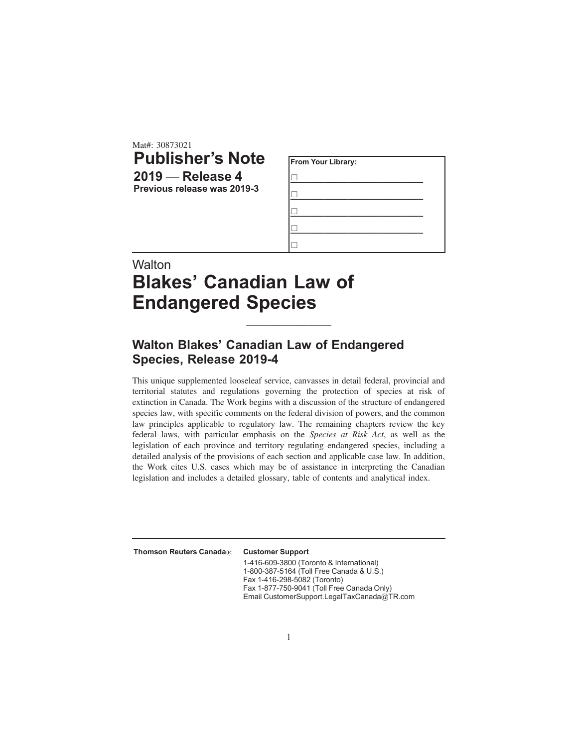Mat#: 30873021 **Publisher's Note 2019** — **Release 4 Previous release was 2019-3**

| From Your Library: |  |  |  |  |
|--------------------|--|--|--|--|
|                    |  |  |  |  |
|                    |  |  |  |  |
|                    |  |  |  |  |
|                    |  |  |  |  |
|                    |  |  |  |  |

# **Walton Blakes' Canadian Law of Endangered Species**

# **Walton Blakes' Canadian Law of Endangered Species, Release 2019-4**

This unique supplemented looseleaf service, canvasses in detail federal, provincial and territorial statutes and regulations governing the protection of species at risk of extinction in Canada. The Work begins with a discussion of the structure of endangered species law, with specific comments on the federal division of powers, and the common law principles applicable to regulatory law. The remaining chapters review the key federal laws, with particular emphasis on the *Species at Risk Act*, as well as the legislation of each province and territory regulating endangered species, including a detailed analysis of the provisions of each section and applicable case law. In addition, the Work cites U.S. cases which may be of assistance in interpreting the Canadian legislation and includes a detailed glossary, table of contents and analytical index.

\_\_\_\_\_\_\_\_\_\_\_\_\_\_\_\_\_\_\_

Thomson Reuters Canada® Customer Support

1-416-609-3800 (Toronto & International) 1-800-387-5164 (Toll Free Canada & U.S.) Fax 1-416-298-5082 (Toronto) Fax 1-877-750-9041 (Toll Free Canada Only) Email CustomerSupport.LegalTaxCanada@TR.com